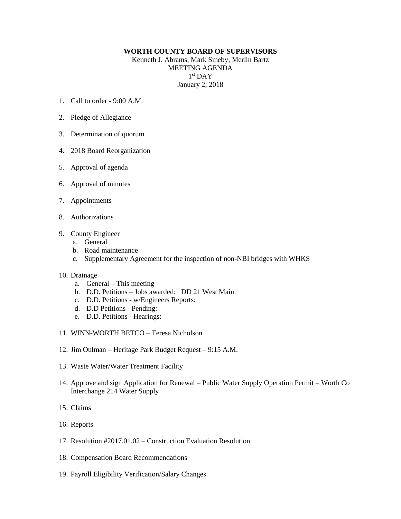## **WORTH COUNTY BOARD OF SUPERVISORS**

Kenneth J. Abrams, Mark Smeby, Merlin Bartz MEETING AGENDA 1 st DAY January 2, 2018

- 1. Call to order 9:00 A.M.
- 2. Pledge of Allegiance
- 3. Determination of quorum
- 4. 2018 Board Reorganization
- 5. Approval of agenda
- 6. Approval of minutes
- 7. Appointments
- 8. Authorizations
- 9. County Engineer
	- a. General
	- b. Road maintenance
	- c. Supplementary Agreement for the inspection of non-NBI bridges with WHKS

## 10. Drainage

- a. General This meeting
- b. D.D. Petitions Jobs awarded: DD 21 West Main
- c. D.D. Petitions w/Engineers Reports:
- d. D.D Petitions Pending:
- e. D.D. Petitions Hearings:
- 11. WINN-WORTH BETCO Teresa Nicholson
- 12. Jim Oulman Heritage Park Budget Request 9:15 A.M.
- 13. Waste Water/Water Treatment Facility
- 14. Approve and sign Application for Renewal Public Water Supply Operation Permit Worth Co Interchange 214 Water Supply
- 15. Claims
- 16. Reports
- 17. Resolution #2017.01.02 Construction Evaluation Resolution
- 18. Compensation Board Recommendations
- 19. Payroll Eligibility Verification/Salary Changes